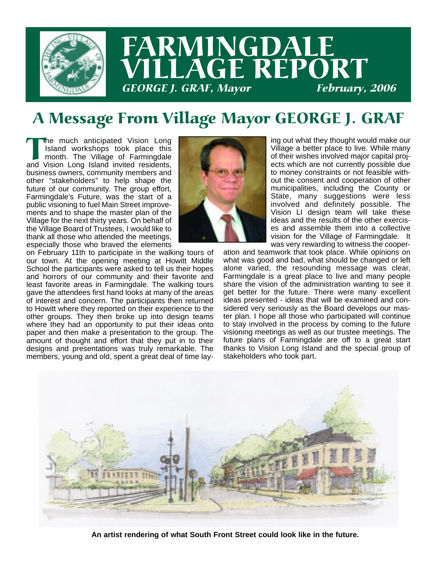

# FARMINGDALE VILLAGE REPORT GEORGE J. GRAF, Mayor February, 2006

# A Message From Village Mayor GEORGE J. GRAF

The much anticipated Vision Long<br>Island workshops took place this<br>month. The Village of Farmingdale<br>and Vision Long Island invited residents, Island workshops took place this month. The Village of Farmingdale business owners, community members and other "stakeholders" to help shape the future of our community. The group effort, Farmingdale's Future, was the start of a public visioning to fuel Main Street improvements and to shape the master plan of the Village for the next thirty years. On behalf of the Village Board of Trustees, I would like to thank all those who attended the meetings, especially those who braved the elements

on February 11th to participate in the walking tours of our town. At the opening meeting at Howitt Middle School the participants were asked to tell us their hopes and horrors of our community and their favorite and least favorite areas in Farmingdale. The walking tours gave the attendees first hand looks at many of the areas of interest and concern. The participants then returned to Howitt where they reported on their experience to the other groups. They then broke up into design teams where they had an opportunity to put their ideas onto paper and then make a presentation to the group. The amount of thought and effort that they put in to their designs and presentations was truly remarkable. The members, young and old, spent a great deal of time lay-



ing out what they thought would make our Village a better place to live. While many of their wishes involved major capital projects which are not currently possible due to money constraints or not feasible without the consent and cooperation of other municipalities, including the County or State, many suggestions were less involved and definitely possible. The Vision LI design team will take these ideas and the results of the other exercises and assemble them into a collective vision for the Village of Farmingdale. It was very rewarding to witness the cooper-

ation and teamwork that took place. While opinions on what was good and bad, what should be changed or left alone varied, the resounding message was clear, Farmingdale is a great place to live and many people share the vision of the administration wanting to see it get better for the future. There were many excellent ideas presented - ideas that will be examined and considered very seriously as the Board develops our master plan. I hope all those who participated will continue to stay involved in the process by coming to the future visioning meetings as well as our trustee meetings. The future plans of Farmingdale are off to a great start thanks to Vision Long Island and the special group of stakeholders who took part.



**An artist rendering of what South Front Street could look like in the future.**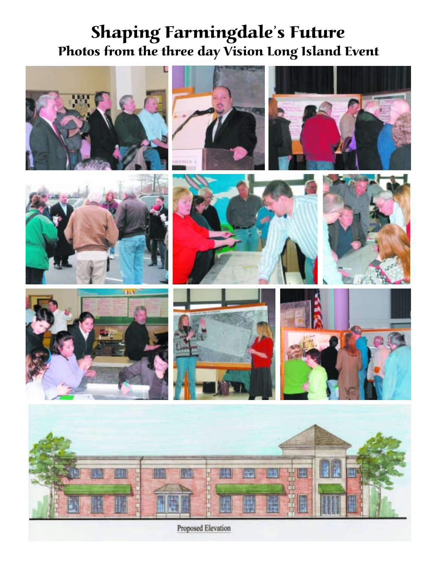### Shaping Farmingdale's Future Photos from the three day Vision Long Island Event





















Proposed Elevation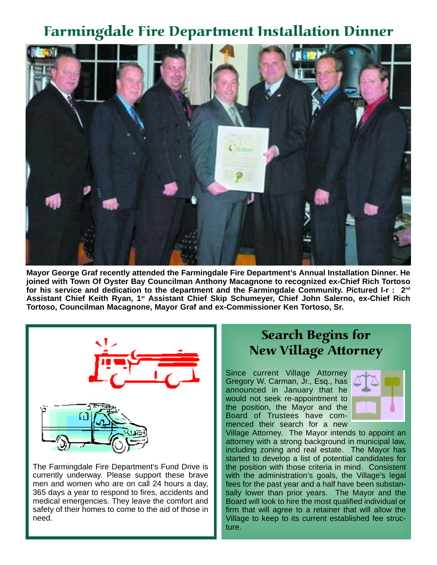#### Farmingdale Fire Department Installation Dinner



**Mayor George Graf recently attended the Farmingdale Fire Department's Annual Installation Dinner. He joined with Town Of Oyster Bay Councilman Anthony Macagnone to recognized ex-Chief Rich Tortoso for his service and dedication to the department and the Farmingdale Community. Pictured l-r : 2nd Assistant Chief Keith Ryan, 1st Assistant Chief Skip Schumeyer, Chief John Salerno, ex-Chief Rich Tortoso, Councilman Macagnone, Mayor Graf and ex-Commissioner Ken Tortoso, Sr.**



The Farmingdale Fire Department's Fund Drive is currently underway. Please support these brave men and women who are on call 24 hours a day, 365 days a year to respond to fires, accidents and medical emergencies. They leave the comfort and safety of their homes to come to the aid of those in need.

#### Search Begins for New Village Attorney

Since current Village Attorney Gregory W. Carman, Jr., Esq., has announced in January that he would not seek re-appointment to the position, the Mayor and the Board of Trustees have commenced their search for a new



Village Attorney. The Mayor intends to appoint an attorney with a strong background in municipal law, including zoning and real estate. The Mayor has started to develop a list of potential candidates for the position with those criteria in mind. Consistent with the administration's goals, the Village's legal fees for the past year and a half have been substantially lower than prior years. The Mayor and the Board will look to hire the most qualified individual or firm that will agree to a retainer that will allow the Village to keep to its current established fee structure.